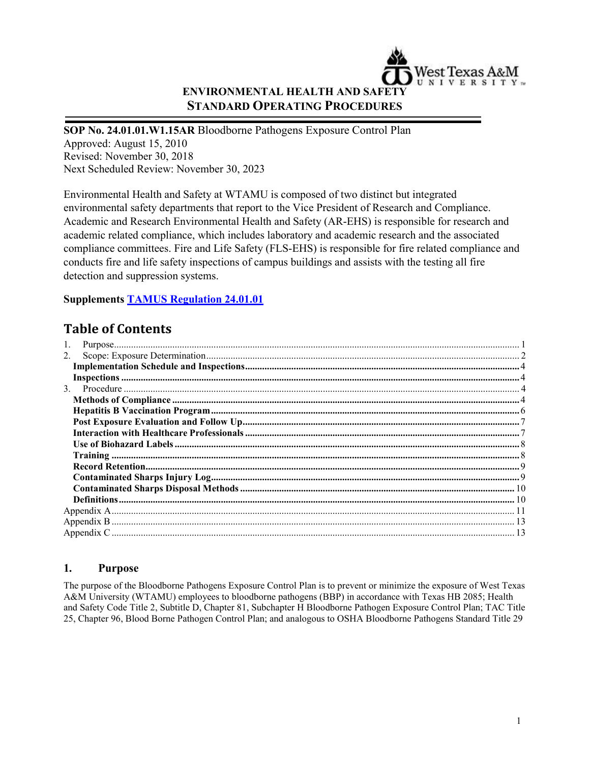

## **ENVIRONMENTAL HEALTH AND SAFETY STANDARD OPERATING PROCEDURES**

#### **SOP No. 24.01.01.W1.15AR** Bloodborne Pathogens Exposure Control Plan

Approved: August 15, 2010 Revised: November 30, 2018 Next Scheduled Review: November 30, 2023

Environmental Health and Safety at WTAMU is composed of two distinct but integrated environmental safety departments that report to the Vice President of Research and Compliance. Academic and Research Environmental Health and Safety (AR-EHS) is responsible for research and academic related compliance, which includes laboratory and academic research and the associated compliance committees. Fire and Life Safety (FLS-EHS) is responsible for fire related compliance and conducts fire and life safety inspections of campus buildings and assists with the testing all fire detection and suppression systems.

## **Supplements [TAMUS Regulation 24.01.01](http://policies.tamus.edu/24-01-01.pdf)**

# **Table of Contents**

| 2. |
|----|
|    |
|    |
|    |
|    |
|    |
|    |
|    |
|    |
|    |
|    |
|    |
|    |
|    |
|    |
|    |
|    |

## <span id="page-0-0"></span>**1. Purpose**

The purpose of the Bloodborne Pathogens Exposure Control Plan is to prevent or minimize the exposure of West Texas A&M University (WTAMU) employees to bloodborne pathogens (BBP) in accordance with Texas HB 2085; Health and Safety Code Title 2, Subtitle D, Chapter 81, Subchapter H Bloodborne Pathogen Exposure Control Plan; TAC Title 25, Chapter 96, Blood Borne Pathogen Control Plan; and analogous to OSHA Bloodborne Pathogens Standard Title 29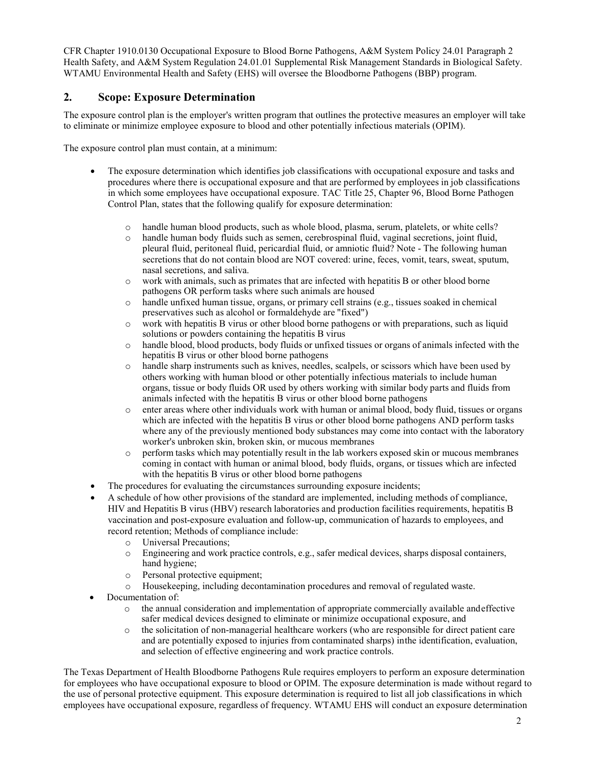CFR Chapter 1910.0130 Occupational Exposure to Blood Borne Pathogens, A&M System Policy 24.01 Paragraph 2 Health Safety, and A&M System Regulation 24.01.01 Supplemental Risk Management Standards in Biological Safety. WTAMU Environmental Health and Safety (EHS) will oversee the Bloodborne Pathogens (BBP) program.

## <span id="page-1-0"></span>**2. Scope: Exposure Determination**

The exposure control plan is the employer's written program that outlines the protective measures an employer will take to eliminate or minimize employee exposure to blood and other potentially infectious materials (OPIM).

The exposure control plan must contain, at a minimum:

- The exposure determination which identifies job classifications with occupational exposure and tasks and procedures where there is occupational exposure and that are performed by employees in job classifications in which some employees have occupational exposure. TAC Title 25, Chapter 96, Blood Borne Pathogen Control Plan, states that the following qualify for exposure determination:
	- o handle human blood products, such as whole blood, plasma, serum, platelets, or white cells?
	- handle human body fluids such as semen, cerebrospinal fluid, vaginal secretions, joint fluid, pleural fluid, peritoneal fluid, pericardial fluid, or amniotic fluid? Note - The following human secretions that do not contain blood are NOT covered: urine, feces, vomit, tears, sweat, sputum, nasal secretions, and saliva.
	- o work with animals, such as primates that are infected with hepatitis B or other blood borne pathogens OR perform tasks where such animals are housed
	- o handle unfixed human tissue, organs, or primary cell strains (e.g., tissues soaked in chemical preservatives such as alcohol or formaldehyde are "fixed")
	- o work with hepatitis B virus or other blood borne pathogens or with preparations, such as liquid solutions or powders containing the hepatitis B virus
	- o handle blood, blood products, body fluids or unfixed tissues or organs of animals infected with the hepatitis B virus or other blood borne pathogens
	- o handle sharp instruments such as knives, needles, scalpels, or scissors which have been used by others working with human blood or other potentially infectious materials to include human organs, tissue or body fluids OR used by others working with similar body parts and fluids from animals infected with the hepatitis B virus or other blood borne pathogens
	- o enter areas where other individuals work with human or animal blood, body fluid, tissues or organs which are infected with the hepatitis B virus or other blood borne pathogens AND perform tasks where any of the previously mentioned body substances may come into contact with the laboratory worker's unbroken skin, broken skin, or mucous membranes
	- o perform tasks which may potentially result in the lab workers exposed skin or mucous membranes coming in contact with human or animal blood, body fluids, organs, or tissues which are infected with the hepatitis B virus or other blood borne pathogens
- The procedures for evaluating the circumstances surrounding exposure incidents;
- A schedule of how other provisions of the standard are implemented, including methods of compliance, HIV and Hepatitis B virus (HBV) research laboratories and production facilities requirements, hepatitis B vaccination and post-exposure evaluation and follow-up, communication of hazards to employees, and record retention; Methods of compliance include:
	- o Universal Precautions;
	- Engineering and work practice controls, e.g., safer medical devices, sharps disposal containers, hand hygiene;
	- o Personal protective equipment;<br>o Housekeeping, including decon
	- Housekeeping, including decontamination procedures and removal of regulated waste.
- Documentation of:
	- o the annual consideration and implementation of appropriate commercially available andeffective safer medical devices designed to eliminate or minimize occupational exposure, and
	- o the solicitation of non-managerial healthcare workers (who are responsible for direct patient care and are potentially exposed to injuries from contaminated sharps) inthe identification, evaluation, and selection of effective engineering and work practice controls.

The Texas Department of Health Bloodborne Pathogens Rule requires employers to perform an exposure determination for employees who have occupational exposure to blood or OPIM. The exposure determination is made without regard to the use of personal protective equipment. This exposure determination is required to list all job classifications in which employees have occupational exposure, regardless of frequency. WTAMU EHS will conduct an exposure determination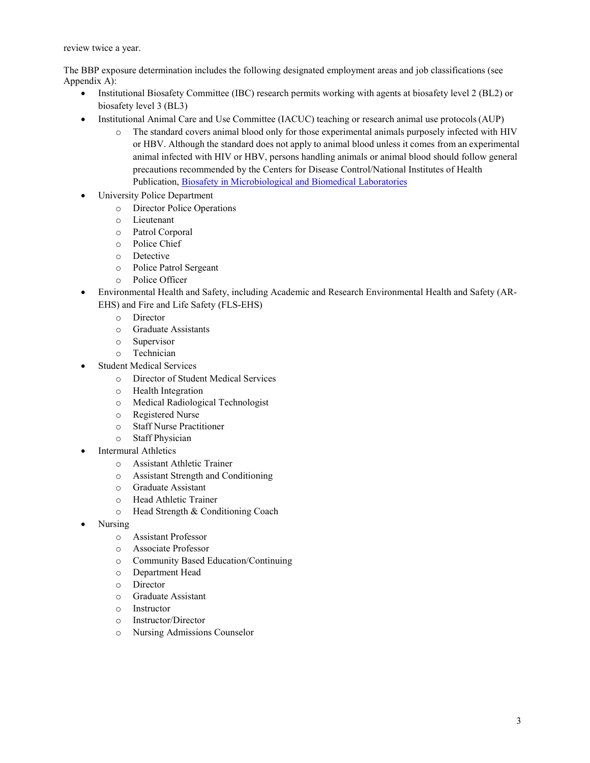review twice a year.

The BBP exposure determination includes the following designated employment areas and job classifications (see Appendix A):

- Institutional Biosafety Committee (IBC) research permits working with agents at biosafety level 2 (BL2) or biosafety level 3 (BL3)
- Institutional Animal Care and Use Committee (IACUC) teaching or research animal use protocols (AUP)
	- o The standard covers animal blood only for those experimental animals purposely infected with HIV or HBV. Although the standard does not apply to animal blood unless it comes from an experimental animal infected with HIV or HBV, persons handling animals or animal blood should follow general precautions recommended by the Centers for Disease Control/National Institutes of Health Publication, [Biosafety in Microbiological and Biomedical Laboratories](http://www.cdc.gov/biosafety/publications/bmbl5/BMBL.pdf)
- University Police Department
	- o Director Police Operations
	- o Lieutenant<br>
	o Patrol Corr
	- Patrol Corporal
	- o Police Chief
	- o Detective
	- o Police Patrol Sergeant
	- o Police Officer
- Environmental Health and Safety, including Academic and Research Environmental Health and Safety (AR-EHS) and Fire and Life Safety (FLS-EHS)
	- o Director<br>o Graduate
	- Graduate Assistants
	- o Supervisor
	- o Technician
- Student Medical Services
	- o Director of Student Medical Services
	- o Health Integration
	- o Medical Radiological Technologist
	- o Registered Nurse
	- o Staff Nurse Practitioner
	- o Staff Physician
- **Intermural Athletics** 
	- o Assistant Athletic Trainer
	- o Assistant Strength and Conditioning
	- o Graduate Assistant
	- o Head Athletic Trainer
	- o Head Strength & Conditioning Coach
- Nursing
	- o Assistant Professor
	- o Associate Professor
	- o Community Based Education/Continuing
	- o Department Head
	- o Director
	- o Graduate Assistant
	- o Instructor
	- o Instructor/Director
	- o Nursing Admissions Counselor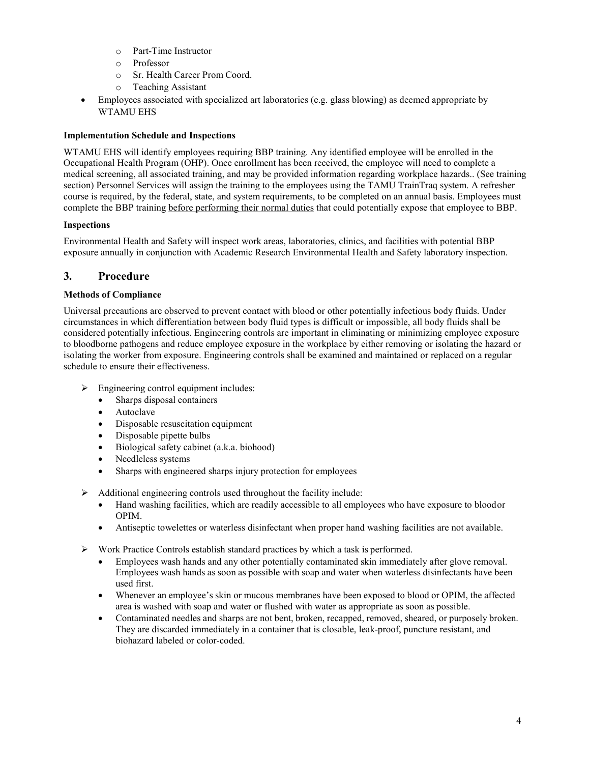- o Part-Time Instructor
- o Professor
- o Sr. Health Career Prom Coord.
- o Teaching Assistant
- Employees associated with specialized art laboratories (e.g. glass blowing) as deemed appropriate by WTAMU EHS

#### <span id="page-3-0"></span>**Implementation Schedule and Inspections**

WTAMU EHS will identify employees requiring BBP training. Any identified employee will be enrolled in the Occupational Health Program (OHP). Once enrollment has been received, the employee will need to complete a medical screening, all associated training, and may be provided information regarding workplace hazards.. (See training section) Personnel Services will assign the training to the employees using the TAMU TrainTraq system. A refresher course is required, by the federal, state, and system requirements, to be completed on an annual basis. Employees must complete the BBP training before performing their normal duties that could potentially expose that employee to BBP.

#### <span id="page-3-1"></span>**Inspections**

Environmental Health and Safety will inspect work areas, laboratories, clinics, and facilities with potential BBP exposure annually in conjunction with Academic Research Environmental Health and Safety laboratory inspection.

### <span id="page-3-2"></span>**3. Procedure**

#### <span id="page-3-3"></span>**Methods of Compliance**

Universal precautions are observed to prevent contact with blood or other potentially infectious body fluids. Under circumstances in which differentiation between body fluid types is difficult or impossible, all body fluids shall be considered potentially infectious. Engineering controls are important in eliminating or minimizing employee exposure to bloodborne pathogens and reduce employee exposure in the workplace by either removing or isolating the hazard or isolating the worker from exposure. Engineering controls shall be examined and maintained or replaced on a regular schedule to ensure their effectiveness.

- $\triangleright$  Engineering control equipment includes:
	- Sharps disposal containers
	- **Autoclave**
	- Disposable resuscitation equipment
	- Disposable pipette bulbs
	- Biological safety cabinet (a.k.a. biohood)
	- Needleless systems
	- Sharps with engineered sharps injury protection for employees
- $\triangleright$  Additional engineering controls used throughout the facility include:
	- Hand washing facilities, which are readily accessible to all employees who have exposure to bloodor OPIM.
	- Antiseptic towelettes or waterless disinfectant when proper hand washing facilities are not available.
- $\triangleright$  Work Practice Controls establish standard practices by which a task is performed.
	- Employees wash hands and any other potentially contaminated skin immediately after glove removal. Employees wash hands as soon as possible with soap and water when waterless disinfectants have been used first.
	- Whenever an employee's skin or mucous membranes have been exposed to blood or OPIM, the affected area is washed with soap and water or flushed with water as appropriate as soon as possible.
	- Contaminated needles and sharps are not bent, broken, recapped, removed, sheared, or purposely broken. They are discarded immediately in a container that is closable, leak-proof, puncture resistant, and biohazard labeled or color-coded.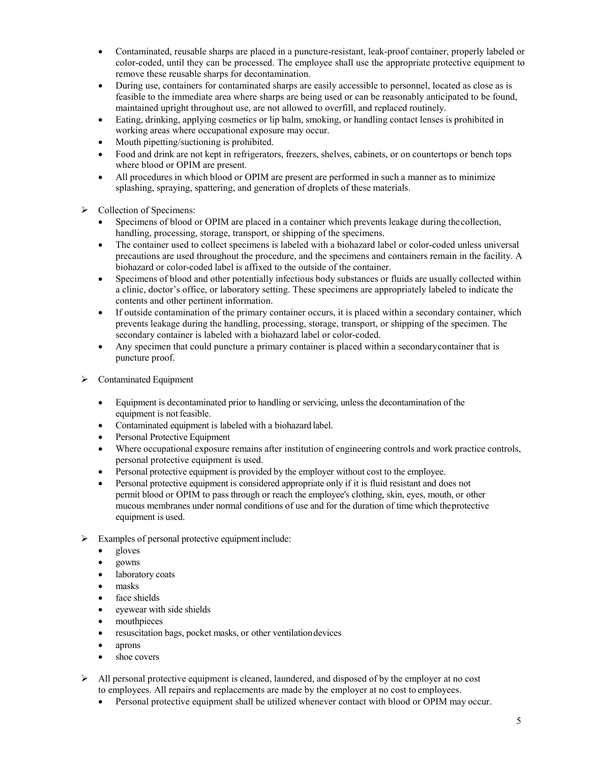- Contaminated, reusable sharps are placed in a puncture-resistant, leak-proof container, properly labeled or color-coded, until they can be processed. The employee shall use the appropriate protective equipment to remove these reusable sharps for decontamination.
- During use, containers for contaminated sharps are easily accessible to personnel, located as close as is feasible to the immediate area where sharps are being used or can be reasonably anticipated to be found, maintained upright throughout use, are not allowed to overfill, and replaced routinely.
- Eating, drinking, applying cosmetics or lip balm, smoking, or handling contact lenses is prohibited in working areas where occupational exposure may occur.
- Mouth pipetting/suctioning is prohibited.
- Food and drink are not kept in refrigerators, freezers, shelves, cabinets, or on countertops or bench tops where blood or OPIM are present.
- All procedures in which blood or OPIM are present are performed in such a manner as to minimize splashing, spraying, spattering, and generation of droplets of these materials.
- $\triangleright$  Collection of Specimens:
	- Specimens of blood or OPIM are placed in a container which prevents leakage during thecollection, handling, processing, storage, transport, or shipping of the specimens.
	- The container used to collect specimens is labeled with a biohazard label or color-coded unless universal precautions are used throughout the procedure, and the specimens and containers remain in the facility. A biohazard or color-coded label is affixed to the outside of the container.
	- Specimens of blood and other potentially infectious body substances or fluids are usually collected within a clinic, doctor's office, or laboratory setting. These specimens are appropriately labeled to indicate the contents and other pertinent information.
	- If outside contamination of the primary container occurs, it is placed within a secondary container, which prevents leakage during the handling, processing, storage, transport, or shipping of the specimen. The secondary container is labeled with a biohazard label or color-coded.
	- Any specimen that could puncture a primary container is placed within a secondary container that is puncture proof.
- $\triangleright$  Contaminated Equipment
	- Equipment is decontaminated prior to handling or servicing, unless the decontamination of the equipment is not feasible.
	- Contaminated equipment is labeled with a biohazard label.
	- Personal Protective Equipment
	- Where occupational exposure remains after institution of engineering controls and work practice controls, personal protective equipment is used.
	- Personal protective equipment is provided by the employer without cost to the employee.
	- Personal protective equipment is considered appropriate only if it is fluid resistant and does not permit blood or OPIM to pass through or reach the employee's clothing, skin, eyes, mouth, or other mucous membranes under normal conditions of use and for the duration of time which theprotective equipment is used.
- $\triangleright$  Examples of personal protective equipment include:
	- gloves
	- gowns
	- laboratory coats
	- masks
	- face shields
	- eyewear with side shields
	- mouthpieces
	- resuscitation bags, pocket masks, or other ventilation devices
	- aprons
	- shoe covers
- $\triangleright$  All personal protective equipment is cleaned, laundered, and disposed of by the employer at no cost to employees. All repairs and replacements are made by the employer at no cost to employees.
	- Personal protective equipment shall be utilized whenever contact with blood or OPIM may occur.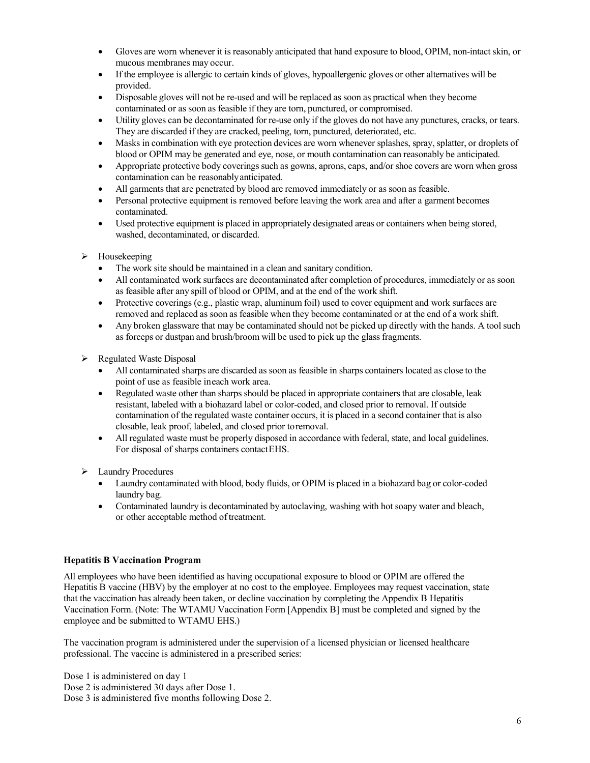- Gloves are worn whenever it is reasonably anticipated that hand exposure to blood, OPIM, non-intact skin, or mucous membranes may occur.
- If the employee is allergic to certain kinds of gloves, hypoallergenic gloves or other alternatives will be provided.
- Disposable gloves will not be re-used and will be replaced as soon as practical when they become contaminated or as soon as feasible if they are torn, punctured, or compromised.
- Utility gloves can be decontaminated for re-use only if the gloves do not have any punctures, cracks, or tears. They are discarded if they are cracked, peeling, torn, punctured, deteriorated, etc.
- Masks in combination with eye protection devices are worn whenever splashes, spray, splatter, or droplets of blood or OPIM may be generated and eye, nose, or mouth contamination can reasonably be anticipated.
- Appropriate protective body coverings such as gowns, aprons, caps, and/or shoe covers are worn when gross contamination can be reasonablyanticipated.
- All garments that are penetrated by blood are removed immediately or as soon as feasible.
- Personal protective equipment is removed before leaving the work area and after a garment becomes contaminated.
- Used protective equipment is placed in appropriately designated areas or containers when being stored, washed, decontaminated, or discarded.
- $\triangleright$  Housekeeping
	- The work site should be maintained in a clean and sanitary condition.
	- All contaminated work surfaces are decontaminated after completion of procedures, immediately or as soon as feasible after any spill of blood or OPIM, and at the end of the work shift.
	- Protective coverings (e.g., plastic wrap, aluminum foil) used to cover equipment and work surfaces are removed and replaced as soon as feasible when they become contaminated or at the end of a work shift.
	- Any broken glassware that may be contaminated should not be picked up directly with the hands. A tool such as forceps or dustpan and brush/broom will be used to pick up the glass fragments.
- $\triangleright$  Regulated Waste Disposal
	- All contaminated sharps are discarded as soon as feasible in sharps containers located as close to the point of use as feasible ineach work area.
	- Regulated waste other than sharps should be placed in appropriate containers that are closable, leak resistant, labeled with a biohazard label or color-coded, and closed prior to removal. If outside contamination of the regulated waste container occurs, it is placed in a second container that is also closable, leak proof, labeled, and closed prior toremoval.
	- All regulated waste must be properly disposed in accordance with federal, state, and local guidelines. For disposal of sharps containers contactEHS.
- Laundry Procedures
	- Laundry contaminated with blood, body fluids, or OPIM is placed in a biohazard bag or color-coded laundry bag.
	- Contaminated laundry is decontaminated by autoclaving, washing with hot soapy water and bleach, or other acceptable method of treatment.

#### <span id="page-5-0"></span>**Hepatitis B Vaccination Program**

All employees who have been identified as having occupational exposure to blood or OPIM are offered the Hepatitis B vaccine (HBV) by the employer at no cost to the employee. Employees may request vaccination, state that the vaccination has already been taken, or decline vaccination by completing the Appendix B Hepatitis Vaccination Form. (Note: The WTAMU Vaccination Form [Appendix B] must be completed and signed by the employee and be submitted to WTAMU EHS.)

The vaccination program is administered under the supervision of a licensed physician or licensed healthcare professional. The vaccine is administered in a prescribed series:

Dose 1 is administered on day 1 Dose 2 is administered 30 days after Dose 1. Dose 3 is administered five months following Dose 2.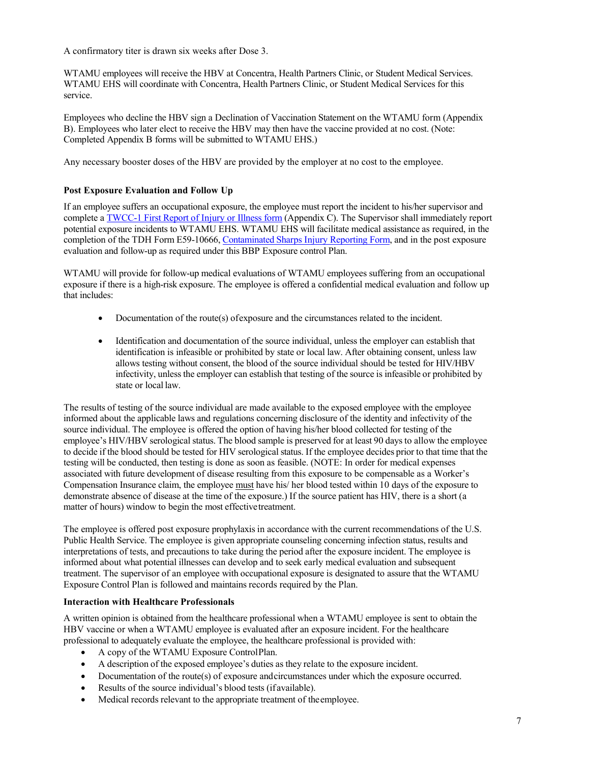A confirmatory titer is drawn six weeks after Dose 3.

WTAMU employees will receive the HBV at Concentra, Health Partners Clinic, or Student Medical Services. WTAMU EHS will coordinate with Concentra, Health Partners Clinic, or Student Medical Services for this service.

Employees who decline the HBV sign a Declination of Vaccination Statement on the WTAMU form (Appendix B). Employees who later elect to receive the HBV may then have the vaccine provided at no cost. (Note: Completed Appendix B forms will be submitted to WTAMU EHS.)

Any necessary booster doses of the HBV are provided by the employer at no cost to the employee.

#### <span id="page-6-0"></span>**Post Exposure Evaluation and Follow Up**

If an employee suffers an occupational exposure, the employee must report the incident to his/her supervisor and complete [a TWCC-1 First Report of Injury or Illness form](http://www.wtamu.edu/administration/risk-management.aspx) (Appendix C). The Supervisor shall immediately report potential exposure incidents to WTAMU EHS. WTAMU EHS will facilitate medical assistance as required, in the completion of the TDH Form E59-10666, [Contaminated Sharps Injury Reporting Form, a](http://www.wtamu.edu/webres/File/Risk%20Management/sharpsShortForm.pdf)nd in the post exposure evaluation and follow-up as required under this BBP Exposure control Plan.

WTAMU will provide for follow-up medical evaluations of WTAMU employees suffering from an occupational exposure if there is a high-risk exposure. The employee is offered a confidential medical evaluation and follow up that includes:

- Documentation of the route(s) of exposure and the circumstances related to the incident.
- Identification and documentation of the source individual, unless the employer can establish that identification is infeasible or prohibited by state or local law. After obtaining consent, unless law allows testing without consent, the blood of the source individual should be tested for HIV/HBV infectivity, unless the employer can establish that testing of the source is infeasible or prohibited by state or local law.

The results of testing of the source individual are made available to the exposed employee with the employee informed about the applicable laws and regulations concerning disclosure of the identity and infectivity of the source individual. The employee is offered the option of having his/her blood collected for testing of the employee's HIV/HBV serological status. The blood sample is preserved for at least 90 days to allow the employee to decide if the blood should be tested for HIV serological status. If the employee decides prior to that time that the testing will be conducted, then testing is done as soon as feasible. (NOTE: In order for medical expenses associated with future development of disease resulting from this exposure to be compensable as a Worker's Compensation Insurance claim, the employee must have his/ her blood tested within 10 days of the exposure to demonstrate absence of disease at the time of the exposure.) If the source patient has HIV, there is a short (a matter of hours) window to begin the most effectivetreatment.

The employee is offered post exposure prophylaxis in accordance with the current recommendations of the U.S. Public Health Service. The employee is given appropriate counseling concerning infection status, results and interpretations of tests, and precautions to take during the period after the exposure incident. The employee is informed about what potential illnesses can develop and to seek early medical evaluation and subsequent treatment. The supervisor of an employee with occupational exposure is designated to assure that the WTAMU Exposure Control Plan is followed and maintains records required by the Plan.

#### <span id="page-6-1"></span>**Interaction with Healthcare Professionals**

A written opinion is obtained from the healthcare professional when a WTAMU employee is sent to obtain the HBV vaccine or when a WTAMU employee is evaluated after an exposure incident. For the healthcare professional to adequately evaluate the employee, the healthcare professional is provided with:

- A copy of the WTAMU Exposure ControlPlan.
- A description of the exposed employee's duties as they relate to the exposure incident.
- Documentation of the route(s) of exposure andcircumstances under which the exposure occurred.
- Results of the source individual's blood tests (if available).
- Medical records relevant to the appropriate treatment of the employee.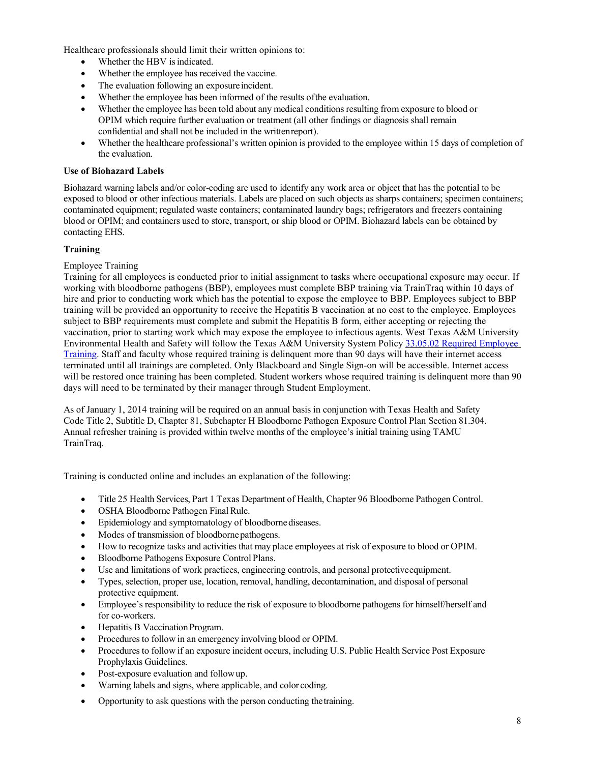Healthcare professionals should limit their written opinions to:

- Whether the HBV is indicated.
- Whether the employee has received the vaccine.
- The evaluation following an exposure incident.
- Whether the employee has been informed of the results of the evaluation.
- Whether the employee has been told about any medical conditions resulting from exposure to blood or OPIM which require further evaluation or treatment (all other findings or diagnosis shall remain confidential and shall not be included in the writtenreport).
- Whether the healthcare professional's written opinion is provided to the employee within 15 days of completion of the evaluation.

#### <span id="page-7-0"></span>**Use of Biohazard Labels**

Biohazard warning labels and/or color-coding are used to identify any work area or object that has the potential to be exposed to blood or other infectious materials. Labels are placed on such objects as sharps containers; specimen containers; contaminated equipment; regulated waste containers; contaminated laundry bags; refrigerators and freezers containing blood or OPIM; and containers used to store, transport, or ship blood or OPIM. Biohazard labels can be obtained by contacting EHS.

#### <span id="page-7-1"></span>**Training**

#### Employee Training

Training for all employees is conducted prior to initial assignment to tasks where occupational exposure may occur. If working with bloodborne pathogens (BBP), employees must complete BBP training via TrainTraq within 10 days of hire and prior to conducting work which has the potential to expose the employee to BBP. Employees subject to BBP training will be provided an opportunity to receive the Hepatitis B vaccination at no cost to the employee. Employees subject to BBP requirements must complete and submit the Hepatitis B form, either accepting or rejecting the vaccination, prior to starting work which may expose the employee to infectious agents. West Texas A&M University Environmental Health and Safety will follow the Texas A&M University System Policy [33.05.02 Required Employee](http://policies.tamus.edu/33-05-02.pdf)  [Training.](http://policies.tamus.edu/33-05-02.pdf) Staff and faculty whose required training is delinquent more than 90 days will have their internet access terminated until all trainings are completed. Only Blackboard and Single Sign-on will be accessible. Internet access will be restored once training has been completed. Student workers whose required training is delinquent more than 90 days will need to be terminated by their manager through Student Employment.

As of January 1, 2014 training will be required on an annual basis in conjunction with Texas Health and Safety Code Title 2, Subtitle D, Chapter 81, Subchapter H Bloodborne Pathogen Exposure Control Plan Section 81.304. Annual refresher training is provided within twelve months of the employee's initial training using TAMU TrainTraq.

Training is conducted online and includes an explanation of the following:

- Title 25 Health Services, Part 1 Texas Department of Health, Chapter 96 Bloodborne Pathogen Control.
- OSHA Bloodborne Pathogen Final Rule.
- Epidemiology and symptomatology of bloodbornediseases.
- Modes of transmission of bloodbornepathogens.
- How to recognize tasks and activities that may place employees at risk of exposure to blood or OPIM.
- Bloodborne Pathogens Exposure Control Plans.
- Use and limitations of work practices, engineering controls, and personal protectiveequipment.
- Types, selection, proper use, location, removal, handling, decontamination, and disposal of personal protective equipment.
- Employee's responsibility to reduce the risk of exposure to bloodborne pathogens for himself/herself and for co-workers.
- **Hepatitis B Vaccination Program.**
- Procedures to follow in an emergency involving blood or OPIM.
- Proceduresto follow if an exposure incident occurs, including U.S. Public Health Service Post Exposure Prophylaxis Guidelines.
- Post-exposure evaluation and followup.
- Warning labels and signs, where applicable, and color coding.
- Opportunity to ask questions with the person conducting thetraining.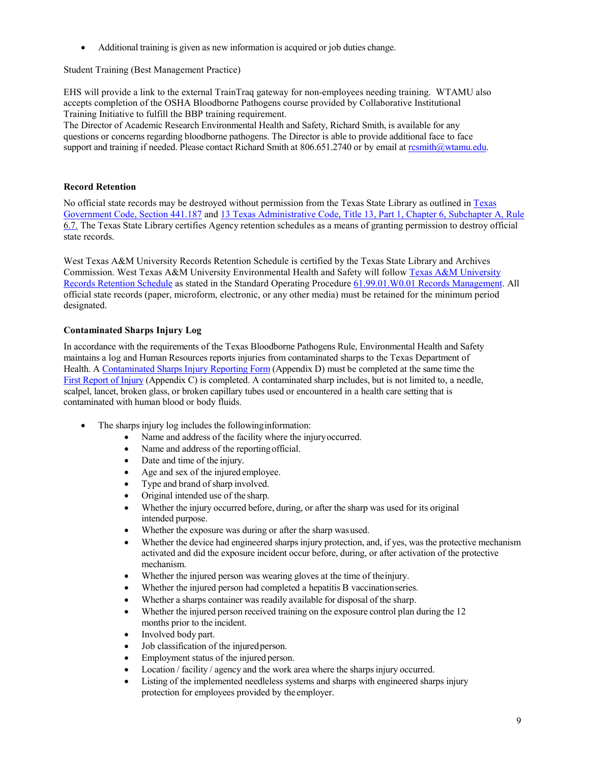• Additional training is given as new information is acquired or job duties change.

Student Training (Best Management Practice)

EHS will provide a link to the external TrainTraq gateway for non-employees needing training. WTAMU also accepts completion of the OSHA Bloodborne Pathogens course provided by Collaborative Institutional Training Initiative to fulfill the BBP training requirement.

The Director of Academic Research Environmental Health and Safety, Richard Smith, is available for any questions or concerns regarding bloodborne pathogens. The Director is able to provide additional face to face support and training if needed. Please contact Richard Smith at 806.651.2740 or by email at resmith@wtamu.edu.

#### <span id="page-8-0"></span>**Record Retention**

No official state records may be destroyed without permission from the Texas State Library as outlined i[n Texas](http://www.statutes.legis.state.tx.us/?link=GV) [Government Code, Section 441.187](http://www.statutes.legis.state.tx.us/?link=GV) and [13 Texas Administrative Code, Title 13, Part 1, Chapter 6, Subchapter A, Rule](http://info.sos.state.tx.us/pls/pub/readtac%24ext.TacPage?sl=R&app=9&p_dir&p_rloc&p_tloc&p_ploc&pg=1&p_tac&ti=13&pt=1&ch=6&rl=7U) 6.7. The Texas State Library certifies Agency retention schedules as a means of granting permission to destroy official state records.

West Texas A&M University Records Retention Schedule is certified by the Texas State Library and Archives Commission. West Texas A&M University Environmental Health and Safety will follow [Texas A&M University](http://www.wtamu.edu/webres/File/Risk%20Management/System-Records-Retention-Schedule-Dec2012.pdf) [Records Retention Schedule](http://www.wtamu.edu/webres/File/Risk%20Management/System-Records-Retention-Schedule-Dec2012.pdf) as stated in the Standard Operating Procedure [61.99.01.W0.01 Records Management.](http://www.wtamu.edu/webres/File/Risk%20Management/61.99.01.W0.01_PROCEDURE_Records%20Management_FINAL%20SIGNED.pdf) All official state records (paper, microform, electronic, or any other media) must be retained for the minimum period designated.

#### <span id="page-8-1"></span>**Contaminated Sharps Injury Log**

In accordance with the requirements of the Texas Bloodborne Pathogens Rule, Environmental Health and Safety maintains a log and Human Resources reports injuries from contaminated sharps to the Texas Department of Health. A [Contaminated Sharps Injury Reporting Form](http://www.wtamu.edu/webres/File/Risk%20Management/sharpsShortForm.pdf) (Appendix D) must be completed at the same time the [First Report of Injury](http://www.wtamu.edu/administration/risk-management.aspx) (Appendix C) is completed. A contaminated sharp includes, but is not limited to, a needle, scalpel, lancet, broken glass, or broken capillary tubes used or encountered in a health care setting that is contaminated with human blood or body fluids.

- The sharps injury log includes the following information:
	- Name and address of the facility where the injury occurred.
	- Name and address of the reporting official.
	- Date and time of the injury.
	- Age and sex of the injured employee.
	- Type and brand of sharp involved.
	- Original intended use of the sharp.
	- Whether the injury occurred before, during, or after the sharp was used for its original intended purpose.
	- Whether the exposure was during or after the sharp was used.
	- Whether the device had engineered sharps injury protection, and, if yes, was the protective mechanism activated and did the exposure incident occur before, during, or after activation of the protective mechanism.
	- Whether the injured person was wearing gloves at the time of the injury.
	- Whether the injured person had completed a hepatitis B vaccination series.
	- Whether a sharps container was readily available for disposal of the sharp.
	- Whether the injured person received training on the exposure control plan during the 12 months prior to the incident.
	- Involved body part.
	- Job classification of the injured person.
	- Employment status of the injured person.
	- Location / facility / agency and the work area where the sharps injury occurred.
	- Listing of the implemented needleless systems and sharps with engineered sharps injury protection for employees provided by the employer.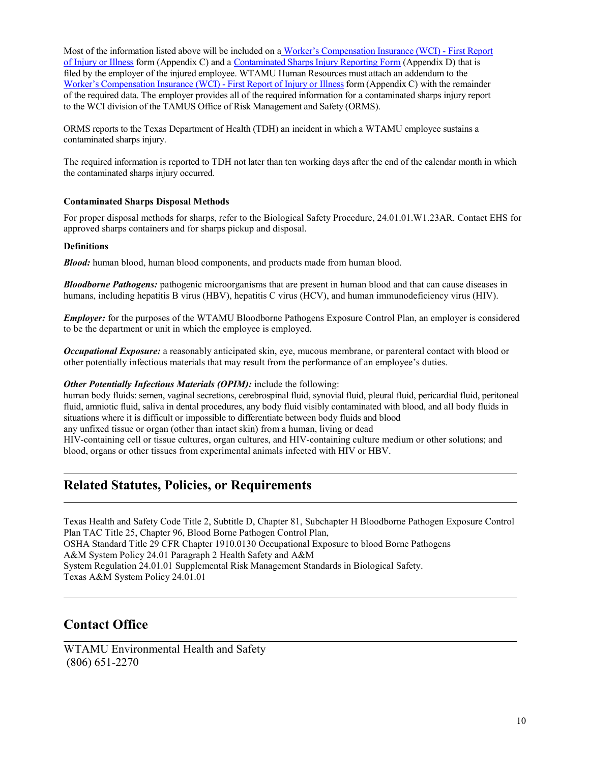Most of the information listed above will be included on a [Worker's Compensation Insurance \(WCI\) -](http://www.wtamu.edu/administration/risk-management.aspx) First Report [of Injury or Illness](http://www.wtamu.edu/administration/risk-management.aspx) form (Appendix C) and [a Contaminated Sharps Injury Reporting Form](http://www.wtamu.edu/webres/File/Risk%20Management/sharpsShortForm.pdf) (Appendix D) that is filed by the employer of the injured employee. WTAMU Human Resources must attach an addendum to the Worker's [Compensation](http://www.wtamu.edu/administration/risk-management.aspx) Insurance (WCI) - First Report of Injury or Illness form (Appendix C) with the remainder of the required data. The employer provides all of the required information for a contaminated sharps injury report to the WCI division of the TAMUS Office of Risk Management and Safety (ORMS).

ORMS reports to the Texas Department of Health (TDH) an incident in which a WTAMU employee sustains a contaminated sharps injury.

The required information is reported to TDH not later than ten working days after the end of the calendar month in which the contaminated sharps injury occurred.

#### <span id="page-9-0"></span>**Contaminated Sharps Disposal Methods**

For proper disposal methods for sharps, refer to the Biological Safety Procedure, 24.01.01.W1.23AR. Contact EHS for approved sharps containers and for sharps pickup and disposal.

#### <span id="page-9-1"></span>**Definitions**

*Blood:* human blood, human blood components, and products made from human blood.

*Bloodborne Pathogens:* pathogenic microorganisms that are present in human blood and that can cause diseases in humans, including hepatitis B virus (HBV), hepatitis C virus (HCV), and human immunodeficiency virus (HIV).

*Employer:* for the purposes of the WTAMU Bloodborne Pathogens Exposure Control Plan, an employer is considered to be the department or unit in which the employee is employed.

*Occupational Exposure:* a reasonably anticipated skin, eye, mucous membrane, or parenteral contact with blood or other potentially infectious materials that may result from the performance of an employee's duties.

#### *Other Potentially Infectious Materials (OPIM): include the following:*

human body fluids: semen, vaginal secretions, cerebrospinal fluid, synovial fluid, pleural fluid, pericardial fluid, peritoneal fluid, amniotic fluid, saliva in dental procedures, any body fluid visibly contaminated with blood, and all body fluids in situations where it is difficult or impossible to differentiate between body fluids and blood any unfixed tissue or organ (other than intact skin) from a human, living or dead

HIV-containing cell or tissue cultures, organ cultures, and HIV-containing culture medium or other solutions; and blood, organs or other tissues from experimental animals infected with HIV or HBV.

## **Related Statutes, Policies, or Requirements**

Texas Health and Safety Code Title 2, Subtitle D, Chapter 81, Subchapter H Bloodborne Pathogen Exposure Control Plan TAC Title 25, Chapter 96, Blood Borne Pathogen Control Plan, OSHA Standard Title 29 CFR Chapter 1910.0130 Occupational Exposure to blood Borne Pathogens A&M System Policy 24.01 Paragraph 2 Health Safety and A&M System Regulation 24.01.01 Supplemental Risk Management Standards in Biological Safety. Texas A&M System Policy 24.01.01

## **Contact Office**

WTAMU Environmental Health and Safety (806) 651-2270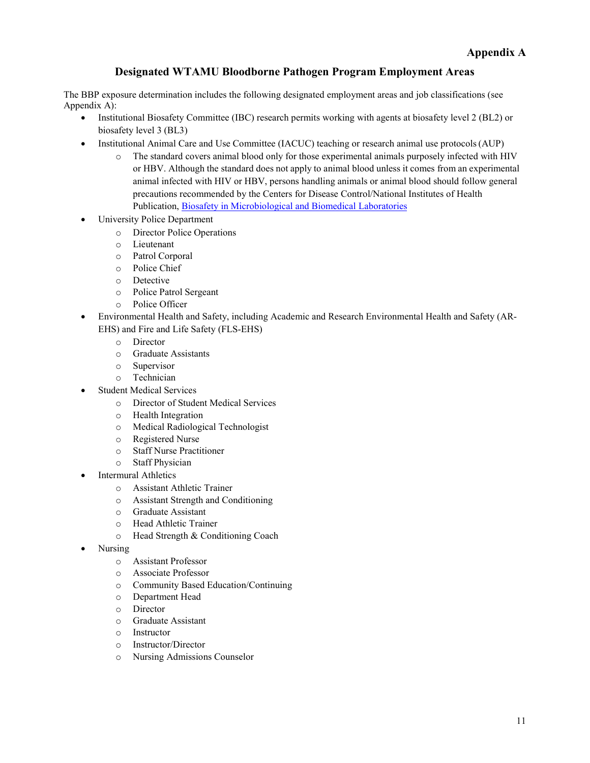## **Designated WTAMU Bloodborne Pathogen Program Employment Areas**

<span id="page-10-0"></span>The BBP exposure determination includes the following designated employment areas and job classifications (see Appendix A):

- Institutional Biosafety Committee (IBC) research permits working with agents at biosafety level 2 (BL2) or biosafety level 3 (BL3)
- Institutional Animal Care and Use Committee (IACUC) teaching or research animal use protocols (AUP)
	- o The standard covers animal blood only for those experimental animals purposely infected with HIV or HBV. Although the standard does not apply to animal blood unless it comes from an experimental animal infected with HIV or HBV, persons handling animals or animal blood should follow general precautions recommended by the Centers for Disease Control/National Institutes of Health Publication, [Biosafety in Microbiological and Biomedical Laboratories](http://www.cdc.gov/biosafety/publications/bmbl5/BMBL.pdf)
- University Police Department
	- o Director Police Operations
	- o Lieutenant
	- o Patrol Corporal
	- o Police Chief
	- o Detective
	- o Police Patrol Sergeant
	- o Police Officer
- Environmental Health and Safety, including Academic and Research Environmental Health and Safety (AR-EHS) and Fire and Life Safety (FLS-EHS)
	- o Director
	- o Graduate Assistants
	- o Supervisor
	- o Technician
- Student Medical Services
	- o Director of Student Medical Services
	- o Health Integration
	- o Medical Radiological Technologist
	- o Registered Nurse
	- o Staff Nurse Practitioner
	- o Staff Physician
- **Intermural Athletics** 
	- o Assistant Athletic Trainer
	- o Assistant Strength and Conditioning
	- o Graduate Assistant
	- o Head Athletic Trainer
	- o Head Strength & Conditioning Coach
- Nursing
	- o Assistant Professor
	- o Associate Professor
	- o Community Based Education/Continuing
	- o Department Head
	- o Director
	- o Graduate Assistant
	- o Instructor
	- o Instructor/Director
	- o Nursing Admissions Counselor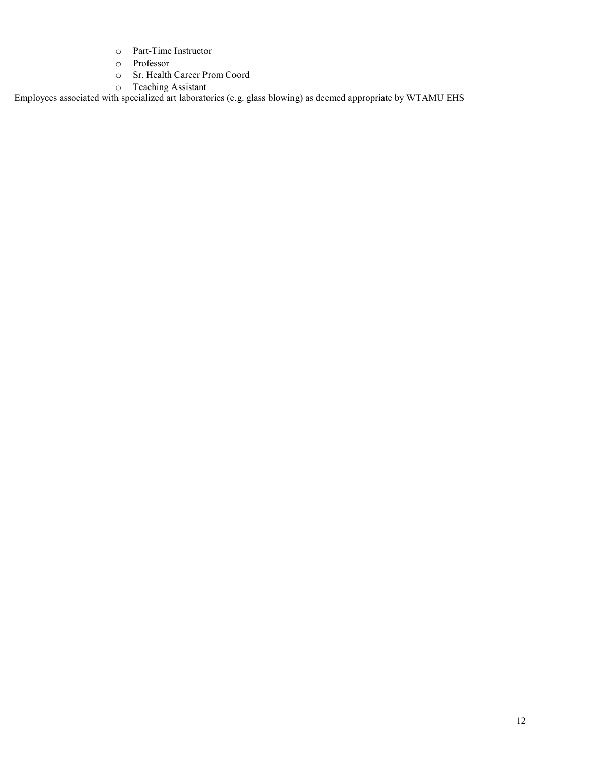- o Part-Time Instructor
- o Professor
- Sr. Health Career Prom Coord
- o Teaching Assistant

Employees associated with specialized art laboratories (e.g. glass blowing) as deemed appropriate by WTAMU EHS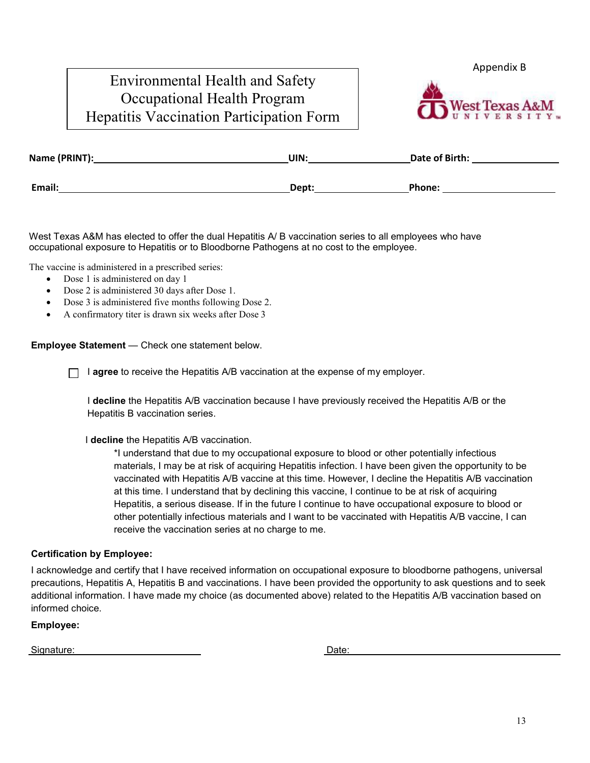# Environmental Health and Safety Occupational Health Program Hepatitis Vaccination Participation Form

<span id="page-12-0"></span>Appendix B



| Name (PRINT): | UIN:  | Date of Birth: |
|---------------|-------|----------------|
| Email:        | Dept: | Phone:         |
|               |       |                |

West Texas A&M has elected to offer the dual Hepatitis A/ B vaccination series to all employees who have occupational exposure to Hepatitis or to Bloodborne Pathogens at no cost to the employee.

The vaccine is administered in a prescribed series:

- Dose 1 is administered on day 1
- Dose 2 is administered 30 days after Dose 1.
- Dose 3 is administered five months following Dose 2.
- A confirmatory titer is drawn six weeks after Dose 3

**Employee Statement** — Check one statement below.

I **agree** to receive the Hepatitis A/B vaccination at the expense of my employer.

I **decline** the Hepatitis A/B vaccination because I have previously received the Hepatitis A/B or the Hepatitis B vaccination series.

I **decline** the Hepatitis A/B vaccination.

\*I understand that due to my occupational exposure to blood or other potentially infectious materials, I may be at risk of acquiring Hepatitis infection. I have been given the opportunity to be vaccinated with Hepatitis A/B vaccine at this time. However, I decline the Hepatitis A/B vaccination at this time. I understand that by declining this vaccine, I continue to be at risk of acquiring Hepatitis, a serious disease. If in the future I continue to have occupational exposure to blood or other potentially infectious materials and I want to be vaccinated with Hepatitis A/B vaccine, I can receive the vaccination series at no charge to me.

#### **Certification by Employee:**

I acknowledge and certify that I have received information on occupational exposure to bloodborne pathogens, universal precautions, Hepatitis A, Hepatitis B and vaccinations. I have been provided the opportunity to ask questions and to seek additional information. I have made my choice (as documented above) related to the Hepatitis A/B vaccination based on informed choice.

**Employee:**

Signature: Date: Development and the state of the state of the Date: Date: Date: